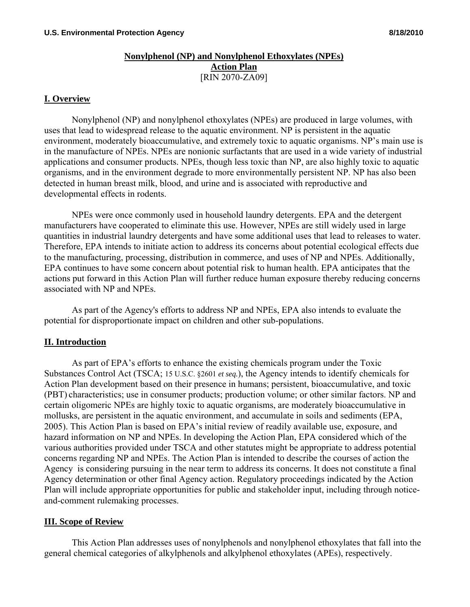#### **Nonylphenol (NP) and Nonylphenol Ethoxylates (NPEs) Action Plan** [RIN 2070-ZA09]

#### **I. Overview**

 Nonylphenol (NP) and nonylphenol ethoxylates (NPEs) are produced in large volumes, with uses that lead to widespread release to the aquatic environment. NP is persistent in the aquatic environment, moderately bioaccumulative, and extremely toxic to aquatic organisms. NP's main use is in the manufacture of NPEs. NPEs are nonionic surfactants that are used in a wide variety of industrial applications and consumer products. NPEs, though less toxic than NP, are also highly toxic to aquatic organisms, and in the environment degrade to more environmentally persistent NP. NP has also been detected in human breast milk, blood, and urine and is associated with reproductive and developmental effects in rodents.

 NPEs were once commonly used in household laundry detergents. EPA and the detergent manufacturers have cooperated to eliminate this use. However, NPEs are still widely used in large quantities in industrial laundry detergents and have some additional uses that lead to releases to water. Therefore, EPA intends to initiate action to address its concerns about potential ecological effects due to the manufacturing, processing, distribution in commerce, and uses of NP and NPEs. Additionally, EPA continues to have some concern about potential risk to human health. EPA anticipates that the actions put forward in this Action Plan will further reduce human exposure thereby reducing concerns associated with NP and NPEs.

As part of the Agency's efforts to address NP and NPEs, EPA also intends to evaluate the potential for disproportionate impact on children and other sub-populations.

#### **II. Introduction**

 As part of EPA's efforts to enhance the existing chemicals program under the Toxic Substances Control Act (TSCA; 15 U.S.C. §2601 *et seq.*), the Agency intends to identify chemicals for Action Plan development based on their presence in humans; persistent, bioaccumulative, and toxic (PBT) characteristics; use in consumer products; production volume; or other similar factors. NP and certain oligomeric NPEs are highly toxic to aquatic organisms, are moderately bioaccumulative in mollusks, are persistent in the aquatic environment, and accumulate in soils and sediments (EPA, 2005). This Action Plan is based on EPA's initial review of readily available use, exposure, and hazard information on NP and NPEs. In developing the Action Plan, EPA considered which of the various authorities provided under TSCA and other statutes might be appropriate to address potential concerns regarding NP and NPEs. The Action Plan is intended to describe the courses of action the Agency is considering pursuing in the near term to address its concerns. It does not constitute a final Agency determination or other final Agency action. Regulatory proceedings indicated by the Action Plan will include appropriate opportunities for public and stakeholder input, including through noticeand-comment rulemaking processes.

#### **III. Scope of Review**

 This Action Plan addresses uses of nonylphenols and nonylphenol ethoxylates that fall into the general chemical categories of alkylphenols and alkylphenol ethoxylates (APEs), respectively.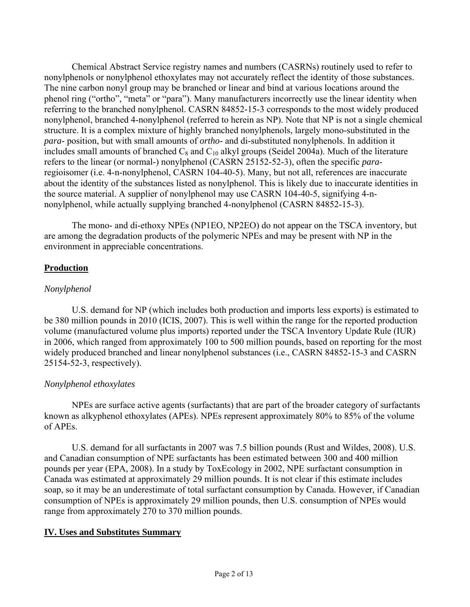Chemical Abstract Service registry names and numbers (CASRNs) routinely used to refer to nonylphenols or nonylphenol ethoxylates may not accurately reflect the identity of those substances. The nine carbon nonyl group may be branched or linear and bind at various locations around the phenol ring ("ortho", "meta" or "para"). Many manufacturers incorrectly use the linear identity when referring to the branched nonylphenol. CASRN 84852-15-3 corresponds to the most widely produced nonylphenol, branched 4-nonylphenol (referred to herein as NP). Note that NP is not a single chemical structure. It is a complex mixture of highly branched nonylphenols, largely mono-substituted in the *para*- position, but with small amounts of *ortho*- and di-substituted nonylphenols. In addition it includes small amounts of branched  $C_8$  and  $C_{10}$  alkyl groups (Seidel 2004a). Much of the literature refers to the linear (or normal-) nonylphenol (CASRN 25152-52-3), often the specific *para*regioisomer (i.e. 4-n-nonylphenol, CASRN 104-40-5). Many, but not all, references are inaccurate about the identity of the substances listed as nonylphenol. This is likely due to inaccurate identities in the source material. A supplier of nonylphenol may use CASRN 104-40-5, signifying 4-nnonylphenol, while actually supplying branched 4-nonylphenol (CASRN 84852-15-3).

 The mono- and di-ethoxy NPEs (NP1EO, NP2EO) do not appear on the TSCA inventory, but are among the degradation products of the polymeric NPEs and may be present with NP in the environment in appreciable concentrations.

## **Production**

## *Nonylphenol*

 U.S. demand for NP (which includes both production and imports less exports) is estimated to be 380 million pounds in 2010 (ICIS, 2007). This is well within the range for the reported production volume (manufactured volume plus imports) reported under the TSCA Inventory Update Rule (IUR) in 2006, which ranged from approximately 100 to 500 million pounds, based on reporting for the most widely produced branched and linear nonylphenol substances (i.e., CASRN 84852-15-3 and CASRN 25154-52-3, respectively).

### *Nonylphenol ethoxylates*

 NPEs are surface active agents (surfactants) that are part of the broader category of surfactants known as alkyphenol ethoxylates (APEs). NPEs represent approximately 80% to 85% of the volume of APEs.

 U.S. demand for all surfactants in 2007 was 7.5 billion pounds (Rust and Wildes, 2008). U.S. and Canadian consumption of NPE surfactants has been estimated between 300 and 400 million pounds per year (EPA, 2008). In a study by ToxEcology in 2002, NPE surfactant consumption in Canada was estimated at approximately 29 million pounds. It is not clear if this estimate includes soap, so it may be an underestimate of total surfactant consumption by Canada. However, if Canadian consumption of NPEs is approximately 29 million pounds, then U.S. consumption of NPEs would range from approximately 270 to 370 million pounds.

### **IV. Uses and Substitutes Summary**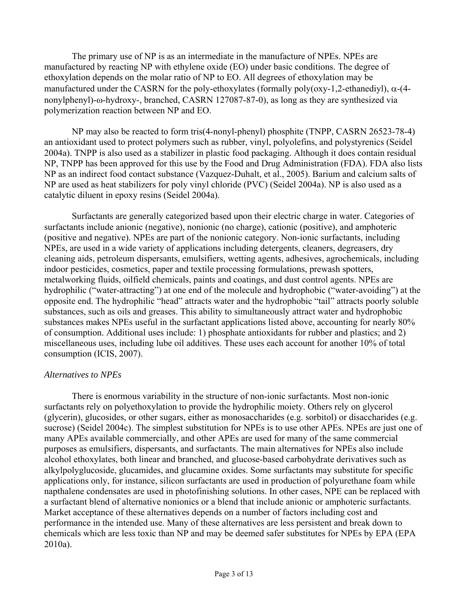The primary use of NP is as an intermediate in the manufacture of NPEs. NPEs are manufactured by reacting NP with ethylene oxide (EO) under basic conditions. The degree of ethoxylation depends on the molar ratio of NP to EO. All degrees of ethoxylation may be manufactured under the CASRN for the poly-ethoxylates (formally poly(oxy-1,2-ethanediyl),  $\alpha$ -(4nonylphenyl)-ω-hydroxy-, branched, CASRN 127087-87-0), as long as they are synthesized via polymerization reaction between NP and EO.

 NP may also be reacted to form tris(4-nonyl-phenyl) phosphite (TNPP, CASRN 26523-78-4) an antioxidant used to protect polymers such as rubber, vinyl, polyolefins, and polystyrenics (Seidel 2004a). TNPP is also used as a stabilizer in plastic food packaging. Although it does contain residual NP, TNPP has been approved for this use by the Food and Drug Administration (FDA). FDA also lists NP as an indirect food contact substance (Vazquez-Duhalt, et al., 2005). Barium and calcium salts of NP are used as heat stabilizers for poly vinyl chloride (PVC) (Seidel 2004a). NP is also used as a catalytic diluent in epoxy resins (Seidel 2004a).

 Surfactants are generally categorized based upon their electric charge in water. Categories of surfactants include anionic (negative), nonionic (no charge), cationic (positive), and amphoteric (positive and negative). NPEs are part of the nonionic category. Non-ionic surfactants, including NPEs, are used in a wide variety of applications including detergents, cleaners, degreasers, dry cleaning aids, petroleum dispersants, emulsifiers, wetting agents, adhesives, agrochemicals, including indoor pesticides, cosmetics, paper and textile processing formulations, prewash spotters, metalworking fluids, oilfield chemicals, paints and coatings, and dust control agents. NPEs are hydrophilic ("water-attracting") at one end of the molecule and hydrophobic ("water-avoiding") at the opposite end. The hydrophilic "head" attracts water and the hydrophobic "tail" attracts poorly soluble substances, such as oils and greases. This ability to simultaneously attract water and hydrophobic substances makes NPEs useful in the surfactant applications listed above, accounting for nearly 80% of consumption. Additional uses include: 1) phosphate antioxidants for rubber and plastics; and 2) miscellaneous uses, including lube oil additives. These uses each account for another 10% of total consumption (ICIS, 2007).

#### *Alternatives to NPEs*

 There is enormous variability in the structure of non-ionic surfactants. Most non-ionic surfactants rely on polyethoxylation to provide the hydrophilic moiety. Others rely on glycerol (glycerin), glucosides, or other sugars, either as monosaccharides (e.g. sorbitol) or disaccharides (e.g. sucrose) (Seidel 2004c). The simplest substitution for NPEs is to use other APEs. NPEs are just one of many APEs available commercially, and other APEs are used for many of the same commercial purposes as emulsifiers, dispersants, and surfactants. The main alternatives for NPEs also include alcohol ethoxylates, both linear and branched, and glucose-based carbohydrate derivatives such as alkylpolyglucoside, glucamides, and glucamine oxides. Some surfactants may substitute for specific applications only, for instance, silicon surfactants are used in production of polyurethane foam while napthalene condensates are used in photofinishing solutions. In other cases, NPE can be replaced with a surfactant blend of alternative nonionics or a blend that include anionic or amphoteric surfactants. Market acceptance of these alternatives depends on a number of factors including cost and performance in the intended use. Many of these alternatives are less persistent and break down to chemicals which are less toxic than NP and may be deemed safer substitutes for NPEs by EPA (EPA 2010a).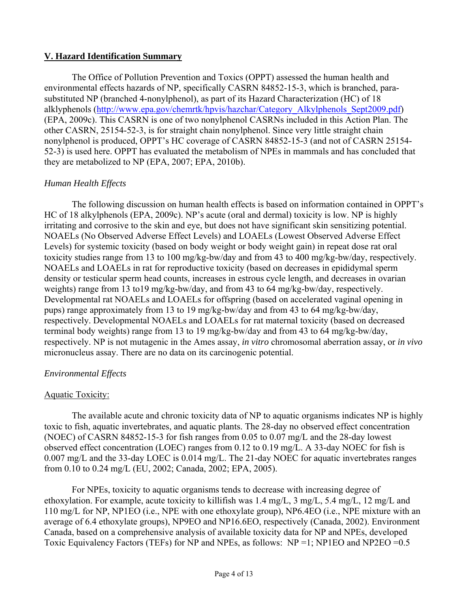#### **V. Hazard Identification Summary**

 The Office of Pollution Prevention and Toxics (OPPT) assessed the human health and environmental effects hazards of NP, specifically CASRN 84852-15-3, which is branched, parasubstituted NP (branched 4-nonylphenol), as part of its Hazard Characterization (HC) of 18 alklyphenols ([http://www.epa.gov/chemrtk/hpvis/hazchar/Category\\_Alkylphenols\\_Sept2009.pdf](http://www.epa.gov/chemrtk/hpvis/hazchar/Category_Alkylphenols_Sept2009.pdf)) (EPA, 2009c). This CASRN is one of two nonylphenol CASRNs included in this Action Plan. The other CASRN, 25154-52-3, is for straight chain nonylphenol. Since very little straight chain nonylphenol is produced, OPPT's HC coverage of CASRN 84852-15-3 (and not of CASRN 25154- 52-3) is used here. OPPT has evaluated the metabolism of NPEs in mammals and has concluded that they are metabolized to NP (EPA, 2007; EPA, 2010b).

### *Human Health Effects*

 The following discussion on human health effects is based on information contained in OPPT's HC of 18 alkylphenols (EPA, 2009c). NP's acute (oral and dermal) toxicity is low. NP is highly irritating and corrosive to the skin and eye, but does not have significant skin sensitizing potential. NOAELs (No Observed Adverse Effect Levels) and LOAELs (Lowest Observed Adverse Effect Levels) for systemic toxicity (based on body weight or body weight gain) in repeat dose rat oral toxicity studies range from 13 to 100 mg/kg-bw/day and from 43 to 400 mg/kg-bw/day, respectively. NOAELs and LOAELs in rat for reproductive toxicity (based on decreases in epididymal sperm density or testicular sperm head counts, increases in estrous cycle length, and decreases in ovarian weights) range from 13 to19 mg/kg-bw/day, and from 43 to 64 mg/kg-bw/day, respectively. Developmental rat NOAELs and LOAELs for offspring (based on accelerated vaginal opening in pups) range approximately from 13 to 19 mg/kg-bw/day and from 43 to 64 mg/kg-bw/day, respectively. Developmental NOAELs and LOAELs for rat maternal toxicity (based on decreased terminal body weights) range from 13 to 19 mg/kg-bw/day and from 43 to 64 mg/kg-bw/day, respectively. NP is not mutagenic in the Ames assay, *in vitro* chromosomal aberration assay, or *in vivo* micronucleus assay. There are no data on its carcinogenic potential.

#### *Environmental Effects*

### Aquatic Toxicity:

 The available acute and chronic toxicity data of NP to aquatic organisms indicates NP is highly toxic to fish, aquatic invertebrates, and aquatic plants. The 28-day no observed effect concentration (NOEC) of CASRN 84852-15-3 for fish ranges from 0.05 to 0.07 mg/L and the 28-day lowest observed effect concentration (LOEC) ranges from 0.12 to 0.19 mg/L. A 33-day NOEC for fish is 0.007 mg/L and the 33-day LOEC is 0.014 mg/L. The 21-day NOEC for aquatic invertebrates ranges from 0.10 to 0.24 mg/L (EU, 2002; Canada, 2002; EPA, 2005).

 For NPEs, toxicity to aquatic organisms tends to decrease with increasing degree of ethoxylation. For example, acute toxicity to killifish was 1.4 mg/L, 3 mg/L, 5.4 mg/L, 12 mg/L and 110 mg/L for NP, NP1EO (i.e., NPE with one ethoxylate group), NP6.4EO (i.e., NPE mixture with an average of 6.4 ethoxylate groups), NP9EO and NP16.6EO, respectively (Canada, 2002). Environment Canada, based on a comprehensive analysis of available toxicity data for NP and NPEs, developed Toxic Equivalency Factors (TEFs) for NP and NPEs, as follows: NP =1; NP1EO and NP2EO =0.5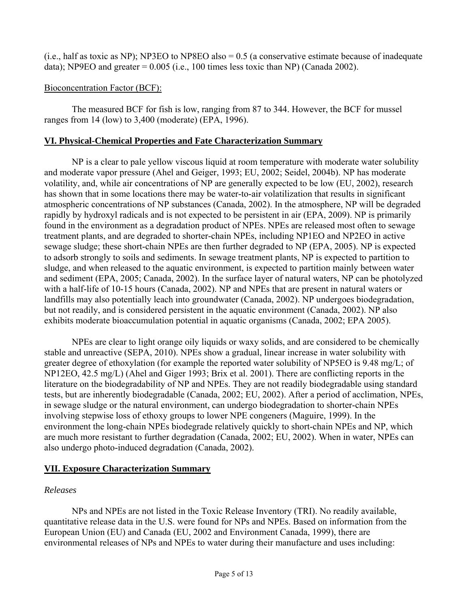(i.e., half as toxic as NP); NP3EO to NP8EO also = 0.5 (a conservative estimate because of inadequate data); NP9EO and greater  $= 0.005$  (i.e., 100 times less toxic than NP) (Canada 2002).

### Bioconcentration Factor (BCF):

 The measured BCF for fish is low, ranging from 87 to 344. However, the BCF for mussel ranges from 14 (low) to 3,400 (moderate) (EPA, 1996).

## **VI. Physical-Chemical Properties and Fate Characterization Summary**

 NP is a clear to pale yellow viscous liquid at room temperature with moderate water solubility and moderate vapor pressure (Ahel and Geiger, 1993; EU, 2002; Seidel, 2004b). NP has moderate volatility, and, while air concentrations of NP are generally expected to be low (EU, 2002), research has shown that in some locations there may be water-to-air volatilization that results in significant atmospheric concentrations of NP substances (Canada, 2002). In the atmosphere, NP will be degraded rapidly by hydroxyl radicals and is not expected to be persistent in air (EPA, 2009). NP is primarily found in the environment as a degradation product of NPEs. NPEs are released most often to sewage treatment plants, and are degraded to shorter-chain NPEs, including NP1EO and NP2EO in active sewage sludge; these short-chain NPEs are then further degraded to NP (EPA, 2005). NP is expected to adsorb strongly to soils and sediments. In sewage treatment plants, NP is expected to partition to sludge, and when released to the aquatic environment, is expected to partition mainly between water and sediment (EPA, 2005; Canada, 2002). In the surface layer of natural waters, NP can be photolyzed with a half-life of 10-15 hours (Canada, 2002). NP and NPEs that are present in natural waters or landfills may also potentially leach into groundwater (Canada, 2002). NP undergoes biodegradation, but not readily, and is considered persistent in the aquatic environment (Canada, 2002). NP also exhibits moderate bioaccumulation potential in aquatic organisms (Canada, 2002; EPA 2005).

 NPEs are clear to light orange oily liquids or waxy solids, and are considered to be chemically stable and unreactive (SEPA, 2010). NPEs show a gradual, linear increase in water solubility with greater degree of ethoxylation (for example the reported water solubility of NP5EO is 9.48 mg/L; of NP12EO, 42.5 mg/L) (Ahel and Giger 1993; Brix et al. 2001). There are conflicting reports in the literature on the biodegradability of NP and NPEs. They are not readily biodegradable using standard tests, but are inherently biodegradable (Canada, 2002; EU, 2002). After a period of acclimation, NPEs, in sewage sludge or the natural environment, can undergo biodegradation to shorter-chain NPEs involving stepwise loss of ethoxy groups to lower NPE congeners (Maguire, 1999). In the environment the long-chain NPEs biodegrade relatively quickly to short-chain NPEs and NP, which are much more resistant to further degradation (Canada, 2002; EU, 2002). When in water, NPEs can also undergo photo-induced degradation (Canada, 2002).

# **VII. Exposure Characterization Summary**

### *Releases*

 NPs and NPEs are not listed in the Toxic Release Inventory (TRI). No readily available, quantitative release data in the U.S. were found for NPs and NPEs. Based on information from the European Union (EU) and Canada (EU, 2002 and Environment Canada, 1999), there are environmental releases of NPs and NPEs to water during their manufacture and uses including: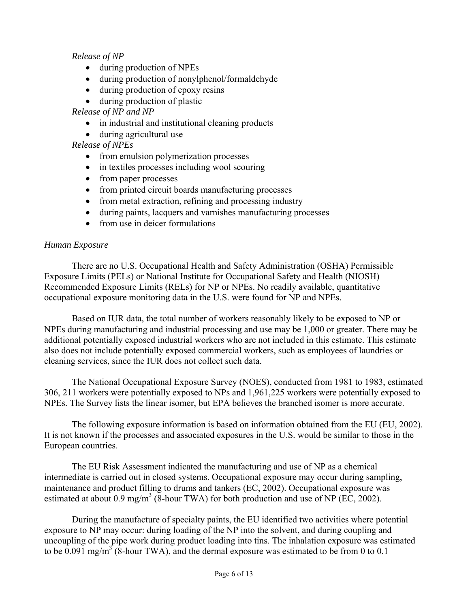*Release of NP* 

- during production of NPEs
- during production of nonylphenol/formaldehyde
- during production of epoxy resins
- during production of plastic

*Release of NP and NP*

- in industrial and institutional cleaning products
- during agricultural use

*Release of NPEs*

- from emulsion polymerization processes
- in textiles processes including wool scouring
- from paper processes
- from printed circuit boards manufacturing processes
- from metal extraction, refining and processing industry
- during paints, lacquers and varnishes manufacturing processes
- from use in deicer formulations

#### *Human Exposure*

 There are no U.S. Occupational Health and Safety Administration (OSHA) Permissible Exposure Limits (PELs) or National Institute for Occupational Safety and Health (NIOSH) Recommended Exposure Limits (RELs) for NP or NPEs. No readily available, quantitative occupational exposure monitoring data in the U.S. were found for NP and NPEs.

 Based on IUR data, the total number of workers reasonably likely to be exposed to NP or NPEs during manufacturing and industrial processing and use may be 1,000 or greater. There may be additional potentially exposed industrial workers who are not included in this estimate. This estimate also does not include potentially exposed commercial workers, such as employees of laundries or cleaning services, since the IUR does not collect such data.

 The National Occupational Exposure Survey (NOES), conducted from 1981 to 1983, estimated 306, 211 workers were potentially exposed to NPs and 1,961,225 workers were potentially exposed to NPEs. The Survey lists the linear isomer, but EPA believes the branched isomer is more accurate.

 The following exposure information is based on information obtained from the EU (EU, 2002). It is not known if the processes and associated exposures in the U.S. would be similar to those in the European countries.

 The EU Risk Assessment indicated the manufacturing and use of NP as a chemical intermediate is carried out in closed systems. Occupational exposure may occur during sampling, maintenance and product filling to drums and tankers (EC, 2002). Occupational exposure was estimated at about  $0.9 \text{ mg/m}^3$  (8-hour TWA) for both production and use of NP (EC, 2002).

 During the manufacture of specialty paints, the EU identified two activities where potential exposure to NP may occur: during loading of the NP into the solvent, and during coupling and uncoupling of the pipe work during product loading into tins. The inhalation exposure was estimated to be  $0.091$  mg/m<sup>3</sup> (8-hour TWA), and the dermal exposure was estimated to be from 0 to 0.1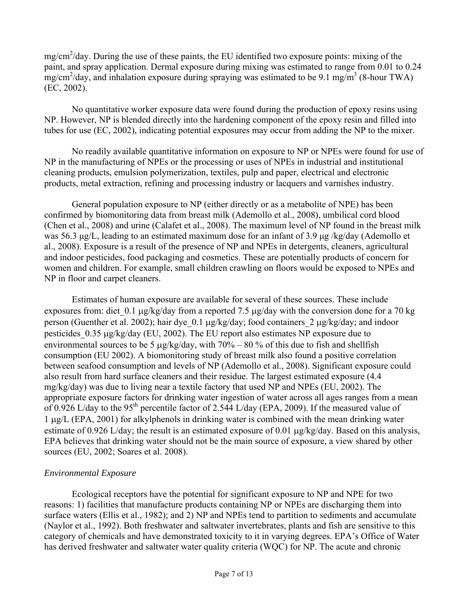$mg/cm<sup>2</sup>/day$ . During the use of these paints, the EU identified two exposure points: mixing of the paint, and spray application. Dermal exposure during mixing was estimated to range from 0.01 to 0.24  $\text{mg/cm}^2/\text{day}$ , and inhalation exposure during spraying was estimated to be 9.1 mg/m<sup>3</sup> (8-hour TWA) (EC, 2002).

 No quantitative worker exposure data were found during the production of epoxy resins using NP. However, NP is blended directly into the hardening component of the epoxy resin and filled into tubes for use (EC, 2002), indicating potential exposures may occur from adding the NP to the mixer.

 No readily available quantitative information on exposure to NP or NPEs were found for use of NP in the manufacturing of NPEs or the processing or uses of NPEs in industrial and institutional cleaning products, emulsion polymerization, textiles, pulp and paper, electrical and electronic products, metal extraction, refining and processing industry or lacquers and varnishes industry.

 General population exposure to NP (either directly or as a metabolite of NPE) has been confirmed by biomonitoring data from breast milk (Ademollo et al., 2008), umbilical cord blood (Chen et al., 2008) and urine (Calafet et al., 2008). The maximum level of NP found in the breast milk was 56.3 μg/L, leading to an estimated maximum dose for an infant of 3.9 μg /kg/day (Ademollo et al., 2008). Exposure is a result of the presence of NP and NPEs in detergents, cleaners, agricultural and indoor pesticides, food packaging and cosmetics. These are potentially products of concern for women and children. For example, small children crawling on floors would be exposed to NPEs and NP in floor and carpet cleaners.

 Estimates of human exposure are available for several of these sources. These include exposures from: diet  $0.1 \mu g/kg/day$  from a reported 7.5  $\mu g/day$  with the conversion done for a 70 kg person (Guenther et al. 2002); hair dye 0.1  $\mu$ g/kg/day; food containers 2  $\mu$ g/kg/day; and indoor pesticides  $0.35 \mu$ g/kg/day (EU, 2002). The EU report also estimates NP exposure due to environmental sources to be 5  $\mu$ g/kg/day, with 70% – 80 % of this due to fish and shellfish consumption (EU 2002). A biomonitoring study of breast milk also found a positive correlation between seafood consumption and levels of NP (Ademollo et al., 2008). Significant exposure could also result from hard surface cleaners and their residue. The largest estimated exposure (4.4 mg/kg/day) was due to living near a textile factory that used NP and NPEs (EU, 2002). The appropriate exposure factors for drinking water ingestion of water across all ages ranges from a mean of 0.926 L/day to the 95<sup>th</sup> percentile factor of 2.544 L/day (EPA, 2009). If the measured value of  $1 \mu g/L$  (EPA, 2001) for alkylphenols in drinking water is combined with the mean drinking water estimate of 0.926 L/day; the result is an estimated exposure of 0.01  $\mu$ g/kg/day. Based on this analysis, EPA believes that drinking water should not be the main source of exposure, a view shared by other sources (EU, 2002; Soares et al. 2008).

#### *Environmental Exposure*

 Ecological receptors have the potential for significant exposure to NP and NPE for two reasons: 1) facilities that manufacture products containing NP or NPEs are discharging them into surface waters (Ellis et al., 1982); and 2) NP and NPEs tend to partition to sediments and accumulate (Naylor et al., 1992). Both freshwater and saltwater invertebrates, plants and fish are sensitive to this category of chemicals and have demonstrated toxicity to it in varying degrees. EPA's Office of Water has derived freshwater and saltwater water quality criteria (WQC) for NP. The acute and chronic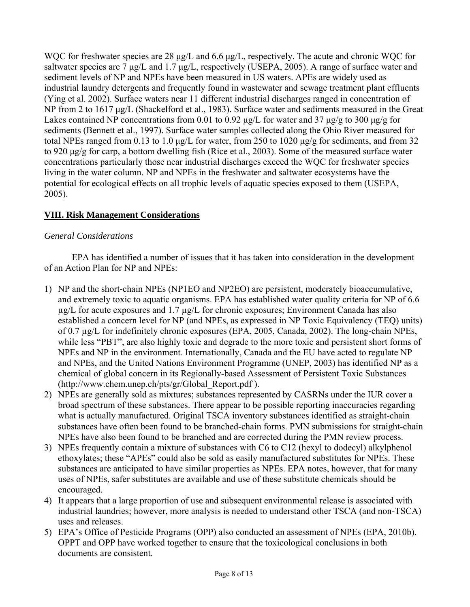WQC for freshwater species are 28 μg/L and 6.6 μg/L, respectively. The acute and chronic WQC for saltwater species are 7 μg/L and 1.7 μg/L, respectively (USEPA, 2005). A range of surface water and sediment levels of NP and NPEs have been measured in US waters. APEs are widely used as industrial laundry detergents and frequently found in wastewater and sewage treatment plant effluents (Ying et al. 2002). Surface waters near 11 different industrial discharges ranged in concentration of NP from 2 to 1617 μg/L (Shackelford et al., 1983). Surface water and sediments measured in the Great Lakes contained NP concentrations from 0.01 to 0.92 μg/L for water and 37 μg/g to 300 μg/g for sediments (Bennett et al., 1997). Surface water samples collected along the Ohio River measured for total NPEs ranged from 0.13 to 1.0 μg/L for water, from 250 to 1020 μg/g for sediments, and from 32 to 920 μg/g for carp, a bottom dwelling fish (Rice et al., 2003). Some of the measured surface water concentrations particularly those near industrial discharges exceed the WQC for freshwater species living in the water column. NP and NPEs in the freshwater and saltwater ecosystems have the potential for ecological effects on all trophic levels of aquatic species exposed to them (USEPA, 2005).

# **VIII. Risk Management Considerations**

### *General Considerations*

 EPA has identified a number of issues that it has taken into consideration in the development of an Action Plan for NP and NPEs:

- 1) NP and the short-chain NPEs (NP1EO and NP2EO) are persistent, moderately bioaccumulative, and extremely toxic to aquatic organisms. EPA has established water quality criteria for NP of 6.6  $\mu$ g/L for acute exposures and 1.7  $\mu$ g/L for chronic exposures; Environment Canada has also established a concern level for NP (and NPEs, as expressed in NP Toxic Equivalency (TEQ) units) of 0.7 µg/L for indefinitely chronic exposures (EPA, 2005, Canada, 2002). The long-chain NPEs, while less "PBT", are also highly toxic and degrade to the more toxic and persistent short forms of NPEs and NP in the environment. Internationally, Canada and the EU have acted to regulate NP and NPEs, and the United Nations Environment Programme (UNEP, 2003) has identified NP as a chemical of global concern in its Regionally-based Assessment of Persistent Toxic Substances (http://www.chem.unep.ch/pts/gr/Global\_Report.pdf ).
- 2) NPEs are generally sold as mixtures; substances represented by CASRNs under the IUR cover a broad spectrum of these substances. There appear to be possible reporting inaccuracies regarding what is actually manufactured. Original TSCA inventory substances identified as straight-chain substances have often been found to be branched-chain forms. PMN submissions for straight-chain NPEs have also been found to be branched and are corrected during the PMN review process.
- 3) NPEs frequently contain a mixture of substances with C6 to C12 (hexyl to dodecyl) alkylphenol ethoxylates; these "APEs" could also be sold as easily manufactured substitutes for NPEs. These substances are anticipated to have similar properties as NPEs. EPA notes, however, that for many uses of NPEs, safer substitutes are available and use of these substitute chemicals should be encouraged.
- 4) It appears that a large proportion of use and subsequent environmental release is associated with industrial laundries; however, more analysis is needed to understand other TSCA (and non-TSCA) uses and releases.
- 5) EPA's Office of Pesticide Programs (OPP) also conducted an assessment of NPEs (EPA, 2010b). OPPT and OPP have worked together to ensure that the toxicological conclusions in both documents are consistent.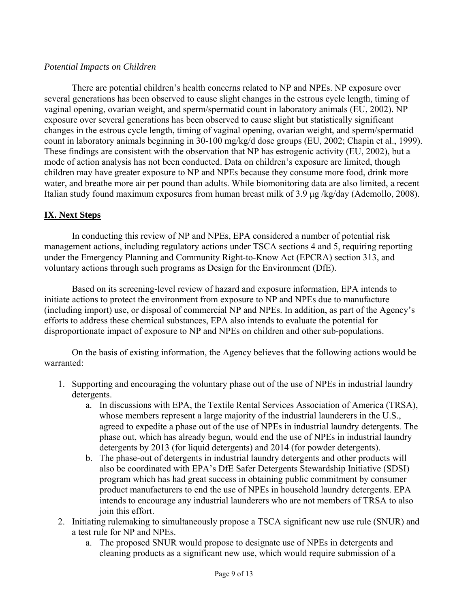#### *Potential Impacts on Children*

 There are potential children's health concerns related to NP and NPEs. NP exposure over several generations has been observed to cause slight changes in the estrous cycle length, timing of vaginal opening, ovarian weight, and sperm/spermatid count in laboratory animals (EU, 2002). NP exposure over several generations has been observed to cause slight but statistically significant changes in the estrous cycle length, timing of vaginal opening, ovarian weight, and sperm/spermatid count in laboratory animals beginning in 30-100 mg/kg/d dose groups (EU, 2002; Chapin et al., 1999). These findings are consistent with the observation that NP has estrogenic activity (EU, 2002), but a mode of action analysis has not been conducted. Data on children's exposure are limited, though children may have greater exposure to NP and NPEs because they consume more food, drink more water, and breathe more air per pound than adults. While biomonitoring data are also limited, a recent Italian study found maximum exposures from human breast milk of 3.9 μg /kg/day (Ademollo, 2008).

### **IX. Next Steps**

 In conducting this review of NP and NPEs, EPA considered a number of potential risk management actions, including regulatory actions under TSCA sections 4 and 5, requiring reporting under the Emergency Planning and Community Right-to-Know Act (EPCRA) section 313, and voluntary actions through such programs as Design for the Environment (DfE).

 Based on its screening-level review of hazard and exposure information, EPA intends to initiate actions to protect the environment from exposure to NP and NPEs due to manufacture (including import) use, or disposal of commercial NP and NPEs. In addition, as part of the Agency's efforts to address these chemical substances, EPA also intends to evaluate the potential for disproportionate impact of exposure to NP and NPEs on children and other sub-populations.

 On the basis of existing information, the Agency believes that the following actions would be warranted:

- 1. Supporting and encouraging the voluntary phase out of the use of NPEs in industrial laundry detergents.
	- a. In discussions with EPA, the Textile Rental Services Association of America (TRSA), whose members represent a large majority of the industrial launderers in the U.S., agreed to expedite a phase out of the use of NPEs in industrial laundry detergents. The phase out, which has already begun, would end the use of NPEs in industrial laundry detergents by 2013 (for liquid detergents) and 2014 (for powder detergents).
	- b. The phase-out of detergents in industrial laundry detergents and other products will also be coordinated with EPA's DfE Safer Detergents Stewardship Initiative (SDSI) program which has had great success in obtaining public commitment by consumer product manufacturers to end the use of NPEs in household laundry detergents. EPA intends to encourage any industrial launderers who are not members of TRSA to also join this effort.
- 2. Initiating rulemaking to simultaneously propose a TSCA significant new use rule (SNUR) and a test rule for NP and NPEs.
	- a. The proposed SNUR would propose to designate use of NPEs in detergents and cleaning products as a significant new use, which would require submission of a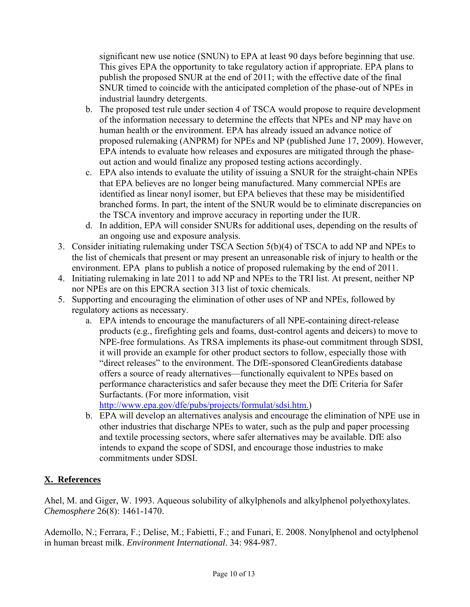significant new use notice (SNUN) to EPA at least 90 days before beginning that use. This gives EPA the opportunity to take regulatory action if appropriate. EPA plans to publish the proposed SNUR at the end of 2011; with the effective date of the final SNUR timed to coincide with the anticipated completion of the phase-out of NPEs in industrial laundry detergents.

- b. The proposed test rule under section 4 of TSCA would propose to require development of the information necessary to determine the effects that NPEs and NP may have on human health or the environment. EPA has already issued an advance notice of proposed rulemaking (ANPRM) for NPEs and NP (published June 17, 2009). However, EPA intends to evaluate how releases and exposures are mitigated through the phaseout action and would finalize any proposed testing actions accordingly.
- c. EPA also intends to evaluate the utility of issuing a SNUR for the straight-chain NPEs that EPA believes are no longer being manufactured. Many commercial NPEs are identified as linear nonyl isomer, but EPA believes that these may be misidentified branched forms. In part, the intent of the SNUR would be to eliminate discrepancies on the TSCA inventory and improve accuracy in reporting under the IUR.
- d. In addition, EPA will consider SNURs for additional uses, depending on the results of an ongoing use and exposure analysis.
- 3. Consider initiating rulemaking under TSCA Section 5(b)(4) of TSCA to add NP and NPEs to the list of chemicals that present or may present an unreasonable risk of injury to health or the environment. EPA plans to publish a notice of proposed rulemaking by the end of 2011.
- 4. Initiating rulemaking in late 2011 to add NP and NPEs to the TRI list. At present, neither NP nor NPEs are on this EPCRA section 313 list of toxic chemicals.
- 5. Supporting and encouraging the elimination of other uses of NP and NPEs, followed by regulatory actions as necessary.
	- a. EPA intends to encourage the manufacturers of all NPE-containing direct-release products (e.g., firefighting gels and foams, dust-control agents and deicers) to move to NPE-free formulations. As TRSA implements its phase-out commitment through SDSI, it will provide an example for other product sectors to follow, especially those with "direct releases" to the environment. The DfE-sponsored CleanGredients database offers a source of ready alternatives—functionally equivalent to NPEs based on performance characteristics and safer because they meet the DfE Criteria for Safer Surfactants. (For more information, visit

[http://www.epa.gov/dfe/pubs/projects/formulat/sdsi.htm.](http://www.epa.gov/dfe/pubs/projects/formulat/sdsi.htm))

b. EPA will develop an alternatives analysis and encourage the elimination of NPE use in other industries that discharge NPEs to water, such as the pulp and paper processing and textile processing sectors, where safer alternatives may be available. DfE also intends to expand the scope of SDSI, and encourage those industries to make commitments under SDSI.

# **X. References**

Ahel, M. and Giger, W. 1993. Aqueous solubility of alkylphenols and alkylphenol polyethoxylates. *Chemosphere* 26(8): 1461-1470.

Ademollo, N.; Ferrara, F.; Delise, M.; Fabietti, F.; and Funari, E. 2008. Nonylphenol and octylphenol in human breast milk. *Environment International*. 34: 984-987.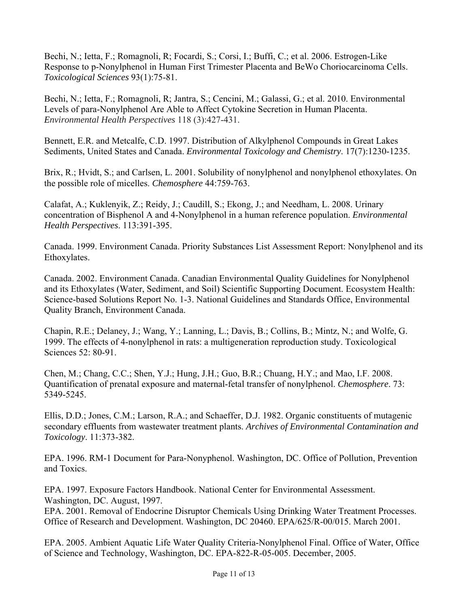Bechi, N.; Ietta, F.; Romagnoli, R; Focardi, S.; Corsi, I.; Buffi, C.; et al. 2006. Estrogen-Like Response to p-Nonylphenol in Human First Trimester Placenta and BeWo Choriocarcinoma Cells. *Toxicological Sciences* 93(1):75-81.

Bechi, N.; Ietta, F.; Romagnoli, R; Jantra, S.; Cencini, M.; Galassi, G.; et al. 2010. Environmental Levels of para-Nonylphenol Are Able to Affect Cytokine Secretion in Human Placenta. *Environmental Health Perspectives* 118 (3):427-431.

Bennett, E.R. and Metcalfe, C.D. 1997. Distribution of Alkylphenol Compounds in Great Lakes Sediments, United States and Canada. *Environmental Toxicology and Chemistry*. 17(7):1230-1235.

Brix, R.; Hvidt, S.; and Carlsen, L. 2001. Solubility of nonylphenol and nonylphenol ethoxylates. On the possible role of micelles. *Chemosphere* 44:759-763.

Calafat, A.; Kuklenyik, Z.; Reidy, J.; Caudill, S.; Ekong, J.; and Needham, L. 2008. Urinary concentration of Bisphenol A and 4-Nonylphenol in a human reference population. *Environmental Health Perspectives*. 113:391-395.

Canada. 1999. Environment Canada. Priority Substances List Assessment Report: Nonylphenol and its Ethoxylates.

Canada. 2002. Environment Canada. Canadian Environmental Quality Guidelines for Nonylphenol and its Ethoxylates (Water, Sediment, and Soil) Scientific Supporting Document. Ecosystem Health: Science-based Solutions Report No. 1-3. National Guidelines and Standards Office, Environmental Quality Branch, Environment Canada.

Chapin, R.E.; Delaney, J.; Wang, Y.; Lanning, L.; Davis, B.; Collins, B.; Mintz, N.; and Wolfe, G. 1999. The effects of 4-nonylphenol in rats: a multigeneration reproduction study. Toxicological Sciences 52: 80-91.

Chen, M.; Chang, C.C.; Shen, Y.J.; Hung, J.H.; Guo, B.R.; Chuang, H.Y.; and Mao, I.F. 2008. Quantification of prenatal exposure and maternal-fetal transfer of nonylphenol. *Chemosphere*. 73: 5349-5245.

Ellis, D.D.; Jones, C.M.; Larson, R.A.; and Schaeffer, D.J. 1982. Organic constituents of mutagenic secondary effluents from wastewater treatment plants. *Archives of Environmental Contamination and Toxicology*. 11:373-382.

EPA. 1996. RM-1 Document for Para-Nonyphenol. Washington, DC. Office of Pollution, Prevention and Toxics.

EPA. 1997. Exposure Factors Handbook. National Center for Environmental Assessment. Washington, DC. August, 1997.

EPA. 2001. Removal of Endocrine Disruptor Chemicals Using Drinking Water Treatment Processes. Office of Research and Development. Washington, DC 20460. EPA/625/R-00/015. March 2001.

EPA. 2005. Ambient Aquatic Life Water Quality Criteria-Nonylphenol Final. Office of Water, Office of Science and Technology, Washington, DC. EPA-822-R-05-005. December, 2005.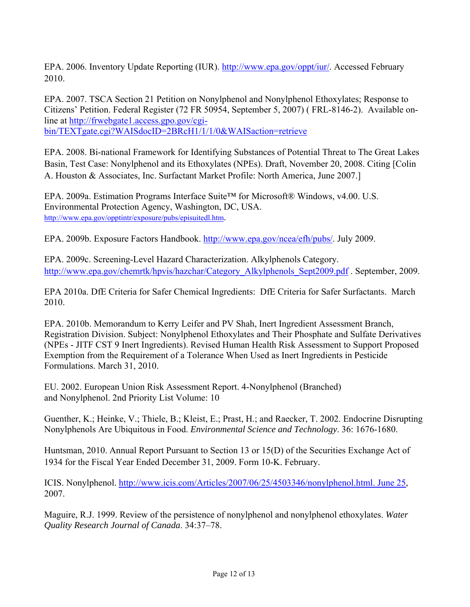EPA. 2006. Inventory Update Reporting (IUR). http://www.epa.gov/oppt/jur/. Accessed February 2010.

EPA. 2007. TSCA Section 21 Petition on Nonylphenol and Nonylphenol Ethoxylates; Response to Citizens' Petition. Federal Register (72 FR 50954, September 5, 2007) ( FRL-8146-2). Available online at [http://frwebgate1.access.gpo.gov/cgi](http://frwebgate1.access.gpo.gov/cgi-bin/TEXTgate.cgi?WAISdocID=2BRcH1/1/1/0&WAISaction=retrieve)[bin/TEXTgate.cgi?WAISdocID=2BRcH1/1/1/0&WAISaction=retrieve](http://frwebgate1.access.gpo.gov/cgi-bin/TEXTgate.cgi?WAISdocID=2BRcH1/1/1/0&WAISaction=retrieve) 

EPA. 2008. Bi-national Framework for Identifying Substances of Potential Threat to The Great Lakes Basin, Test Case: Nonylphenol and its Ethoxylates (NPEs). Draft, November 20, 2008. Citing [Colin A. Houston & Associates, Inc. Surfactant Market Profile: North America, June 2007.]

EPA. 2009a. Estimation Programs Interface Suite™ for Microsoft® Windows, v4.00. U.S. Environmental Protection Agency, Washington, DC, USA. [http://www.epa.gov/opptintr/exposure/pubs/episuitedl.htm.](http://www.epa.gov/opptintr/exposure/pubs/episuitedl.htm)

EPA. 2009b. Exposure Factors Handbook. [http://www.epa.gov/ncea/efh/pubs/.](http://www.epa.gov/ncea/efh/pubs/) July 2009.

EPA. 2009c. Screening-Level Hazard Characterization. Alkylphenols Category. [http://www.epa.gov/chemrtk/hpvis/hazchar/Category\\_Alkylphenols\\_Sept2009.pdf](http://www.epa.gov/chemrtk/hpvis/hazchar/Category_Alkylphenols_Sept2009.pdf) . September, 2009.

EPA 2010a. DfE Criteria for Safer Chemical Ingredients: DfE Criteria for Safer Surfactants. March 2010.

EPA. 2010b. Memorandum to Kerry Leifer and PV Shah, Inert Ingredient Assessment Branch, Registration Division. Subject: Nonylphenol Ethoxylates and Their Phosphate and Sulfate Derivatives (NPEs - JITF CST 9 Inert Ingredients). Revised Human Health Risk Assessment to Support Proposed Exemption from the Requirement of a Tolerance When Used as Inert Ingredients in Pesticide Formulations. March 31, 2010.

EU. 2002. European Union Risk Assessment Report. 4-Nonylphenol (Branched) and Nonylphenol. 2nd Priority List Volume: 10

Guenther, K.; Heinke, V.; Thiele, B.; Kleist, E.; Prast, H.; and Raecker, T. 2002. Endocrine Disrupting Nonylphenols Are Ubiquitous in Food. *Environmental Science and Technology*. 36: 1676-1680.

Huntsman, 2010. Annual Report Pursuant to Section 13 or 15(D) of the Securities Exchange Act of 1934 for the Fiscal Year Ended December 31, 2009. Form 10-K. February.

ICIS. Nonylphenol. [http://www.icis.com/Articles/2007/06/25/4503346/nonylphenol.html. June 25,](http://www.icis.com/Articles/2007/06/25/4503346/nonylphenol.html.%20June%2025) 2007.

Maguire, R.J. 1999. Review of the persistence of nonylphenol and nonylphenol ethoxylates. *Water Quality Research Journal of Canada*. 34:37–78.